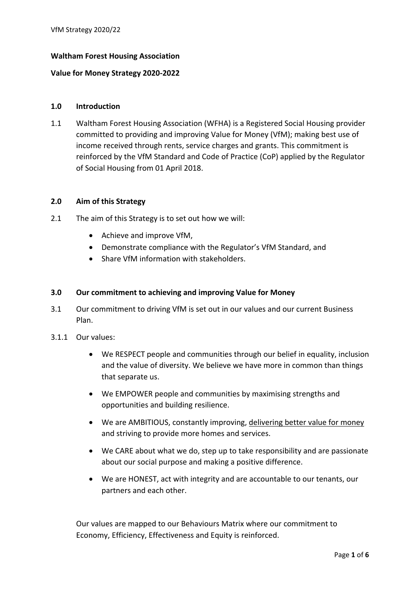# **Waltham Forest Housing Association**

## **Value for Money Strategy 2020-2022**

#### **1.0 Introduction**

1.1 Waltham Forest Housing Association (WFHA) is a Registered Social Housing provider committed to providing and improving Value for Money (VfM); making best use of income received through rents, service charges and grants. This commitment is reinforced by the VfM Standard and Code of Practice (CoP) applied by the Regulator of Social Housing from 01 April 2018.

### **2.0 Aim of this Strategy**

- 2.1 The aim of this Strategy is to set out how we will:
	- Achieve and improve VfM,
	- Demonstrate compliance with the Regulator's VfM Standard, and
	- Share VfM information with stakeholders.

### **3.0 Our commitment to achieving and improving Value for Money**

- 3.1 Our commitment to driving VfM is set out in our values and our current Business Plan.
- 3.1.1 Our values:
	- We RESPECT people and communities through our belief in equality, inclusion and the value of diversity. We believe we have more in common than things that separate us.
	- We EMPOWER people and communities by maximising strengths and opportunities and building resilience.
	- We are AMBITIOUS, constantly improving, delivering better value for money and striving to provide more homes and services.
	- We CARE about what we do, step up to take responsibility and are passionate about our social purpose and making a positive difference.
	- We are HONEST, act with integrity and are accountable to our tenants, our partners and each other.

Our values are mapped to our Behaviours Matrix where our commitment to Economy, Efficiency, Effectiveness and Equity is reinforced.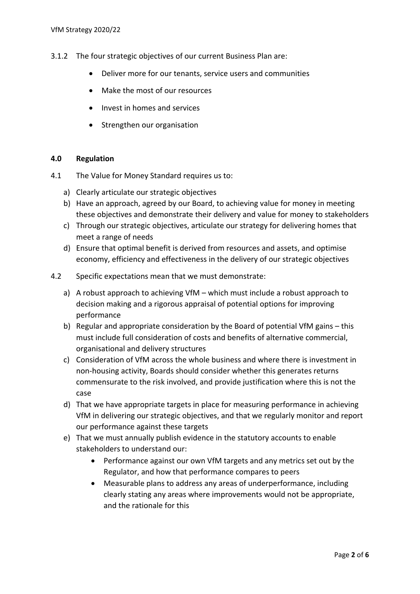- 3.1.2 The four strategic objectives of our current Business Plan are:
	- Deliver more for our tenants, service users and communities
	- Make the most of our resources
	- Invest in homes and services
	- Strengthen our organisation

#### **4.0 Regulation**

- 4.1 The Value for Money Standard requires us to:
	- a) Clearly articulate our strategic objectives
	- b) Have an approach, agreed by our Board, to achieving value for money in meeting these objectives and demonstrate their delivery and value for money to stakeholders
	- c) Through our strategic objectives, articulate our strategy for delivering homes that meet a range of needs
	- d) Ensure that optimal benefit is derived from resources and assets, and optimise economy, efficiency and effectiveness in the delivery of our strategic objectives
- 4.2 Specific expectations mean that we must demonstrate:
	- a) A robust approach to achieving VfM which must include a robust approach to decision making and a rigorous appraisal of potential options for improving performance
	- b) Regular and appropriate consideration by the Board of potential VfM gains this must include full consideration of costs and benefits of alternative commercial, organisational and delivery structures
	- c) Consideration of VfM across the whole business and where there is investment in non-housing activity, Boards should consider whether this generates returns commensurate to the risk involved, and provide justification where this is not the case
	- d) That we have appropriate targets in place for measuring performance in achieving VfM in delivering our strategic objectives, and that we regularly monitor and report our performance against these targets
	- e) That we must annually publish evidence in the statutory accounts to enable stakeholders to understand our:
		- Performance against our own VfM targets and any metrics set out by the Regulator, and how that performance compares to peers
		- Measurable plans to address any areas of underperformance, including clearly stating any areas where improvements would not be appropriate, and the rationale for this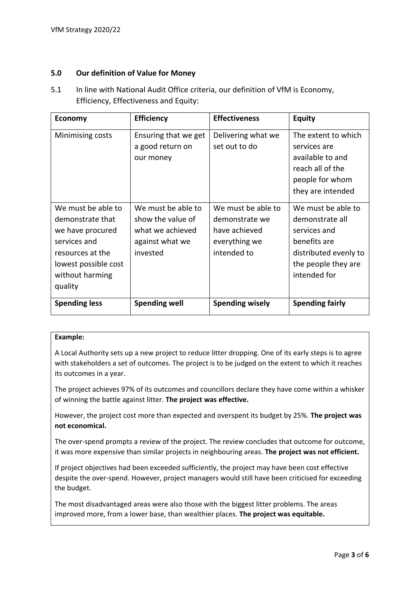### **5.0 Our definition of Value for Money**

5.1 In line with National Audit Office criteria, our definition of VfM is Economy, Efficiency, Effectiveness and Equity:

| <b>Economy</b>                                                                                                                                       | <b>Efficiency</b>                                                                          | <b>Effectiveness</b>                                                                  | <b>Equity</b>                                                                                                                         |
|------------------------------------------------------------------------------------------------------------------------------------------------------|--------------------------------------------------------------------------------------------|---------------------------------------------------------------------------------------|---------------------------------------------------------------------------------------------------------------------------------------|
| Minimising costs                                                                                                                                     | Ensuring that we get<br>a good return on<br>our money                                      | Delivering what we<br>set out to do                                                   | The extent to which<br>services are<br>available to and<br>reach all of the<br>people for whom<br>they are intended                   |
| We must be able to<br>demonstrate that<br>we have procured<br>services and<br>resources at the<br>lowest possible cost<br>without harming<br>quality | We must be able to<br>show the value of<br>what we achieved<br>against what we<br>invested | We must be able to<br>demonstrate we<br>have achieved<br>everything we<br>intended to | We must be able to<br>demonstrate all<br>services and<br>benefits are<br>distributed evenly to<br>the people they are<br>intended for |
| <b>Spending less</b>                                                                                                                                 | <b>Spending well</b>                                                                       | <b>Spending wisely</b>                                                                | <b>Spending fairly</b>                                                                                                                |

# **Example:**

A Local Authority sets up a new project to reduce litter dropping. One of its early steps is to agree with stakeholders a set of outcomes. The project is to be judged on the extent to which it reaches its outcomes in a year.

The project achieves 97% of its outcomes and councillors declare they have come within a whisker of winning the battle against litter. **The project was effective.**

However, the project cost more than expected and overspent its budget by 25%. **The project was not economical.**

The over-spend prompts a review of the project. The review concludes that outcome for outcome, it was more expensive than similar projects in neighbouring areas. **The project was not efficient.**

If project objectives had been exceeded sufficiently, the project may have been cost effective despite the over-spend. However, project managers would still have been criticised for exceeding the budget.

The most disadvantaged areas were also those with the biggest litter problems. The areas improved more, from a lower base, than wealthier places. **The project was equitable.**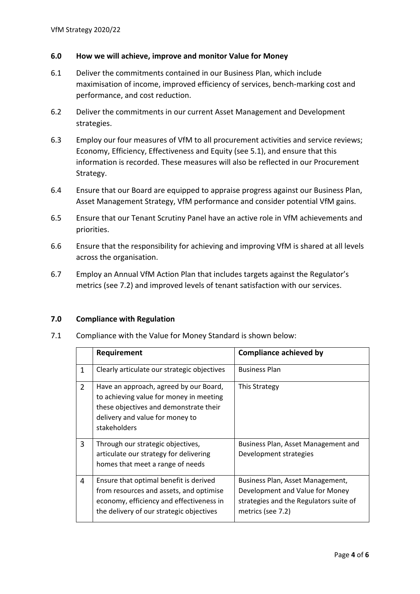## **6.0 How we will achieve, improve and monitor Value for Money**

- 6.1 Deliver the commitments contained in our Business Plan, which include maximisation of income, improved efficiency of services, bench-marking cost and performance, and cost reduction.
- 6.2 Deliver the commitments in our current Asset Management and Development strategies.
- 6.3 Employ our four measures of VfM to all procurement activities and service reviews; Economy, Efficiency, Effectiveness and Equity (see 5.1), and ensure that this information is recorded. These measures will also be reflected in our Procurement Strategy.
- 6.4 Ensure that our Board are equipped to appraise progress against our Business Plan, Asset Management Strategy, VfM performance and consider potential VfM gains.
- 6.5 Ensure that our Tenant Scrutiny Panel have an active role in VfM achievements and priorities.
- 6.6 Ensure that the responsibility for achieving and improving VfM is shared at all levels across the organisation.
- 6.7 Employ an Annual VfM Action Plan that includes targets against the Regulator's metrics (see 7.2) and improved levels of tenant satisfaction with our services.

#### **7.0 Compliance with Regulation**

7.1 Compliance with the Value for Money Standard is shown below:

|                | Requirement                                                                                                                                                                    | <b>Compliance achieved by</b>                                                                                                      |
|----------------|--------------------------------------------------------------------------------------------------------------------------------------------------------------------------------|------------------------------------------------------------------------------------------------------------------------------------|
| $\mathbf{1}$   | Clearly articulate our strategic objectives                                                                                                                                    | <b>Business Plan</b>                                                                                                               |
| $\overline{2}$ | Have an approach, agreed by our Board,<br>to achieving value for money in meeting<br>these objectives and demonstrate their<br>delivery and value for money to<br>stakeholders | This Strategy                                                                                                                      |
| 3              | Through our strategic objectives,<br>articulate our strategy for delivering<br>homes that meet a range of needs                                                                | Business Plan, Asset Management and<br>Development strategies                                                                      |
| 4              | Ensure that optimal benefit is derived<br>from resources and assets, and optimise<br>economy, efficiency and effectiveness in<br>the delivery of our strategic objectives      | Business Plan, Asset Management,<br>Development and Value for Money<br>strategies and the Regulators suite of<br>metrics (see 7.2) |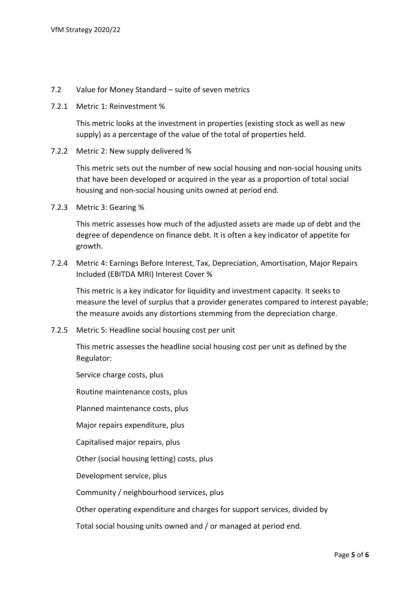- 7.2 Value for Money Standard suite of seven metrics
- 7.2.1 Metric 1: Reinvestment %

This metric looks at the investment in properties (existing stock as well as new supply) as a percentage of the value of the total of properties held.

7.2.2 Metric 2: New supply delivered %

This metric sets out the number of new social housing and non-social housing units that have been developed or acquired in the year as a proportion of total social housing and non-social housing units owned at period end.

7.2.3 Metric 3: Gearing %

This metric assesses how much of the adjusted assets are made up of debt and the degree of dependence on finance debt. It is often a key indicator of appetite for growth.

7.2.4 Metric 4: Earnings Before Interest, Tax, Depreciation, Amortisation, Major Repairs Included (EBITDA MRI) Interest Cover %

This metric is a key indicator for liquidity and investment capacity. It seeks to measure the level of surplus that a provider generates compared to interest payable; the measure avoids any distortions stemming from the depreciation charge.

7.2.5 Metric 5: Headline social housing cost per unit

This metric assesses the headline social housing cost per unit as defined by the Regulator:

Service charge costs, plus

Routine maintenance costs, plus

Planned maintenance costs, plus

Major repairs expenditure, plus

Capitalised major repairs, plus

Other (social housing letting) costs, plus

Development service, plus

Community / neighbourhood services, plus

Other operating expenditure and charges for support services, divided by

Total social housing units owned and / or managed at period end.